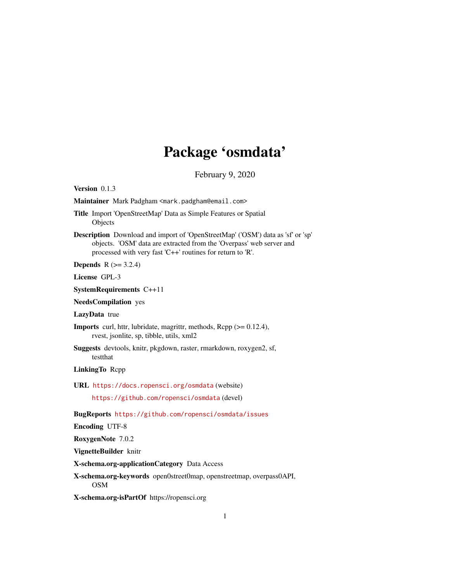# Package 'osmdata'

February 9, 2020

<span id="page-0-0"></span>Version 0.1.3

Maintainer Mark Padgham <mark.padgham@email.com>

Title Import 'OpenStreetMap' Data as Simple Features or Spatial Objects

Description Download and import of 'OpenStreetMap' ('OSM') data as 'sf' or 'sp' objects. 'OSM' data are extracted from the 'Overpass' web server and processed with very fast 'C++' routines for return to 'R'.

**Depends** R  $(>= 3.2.4)$ 

License GPL-3

SystemRequirements C++11

NeedsCompilation yes

LazyData true

Imports curl, httr, lubridate, magrittr, methods, Rcpp (>= 0.12.4), rvest, jsonlite, sp, tibble, utils, xml2

Suggests devtools, knitr, pkgdown, raster, rmarkdown, roxygen2, sf, testthat

LinkingTo Rcpp

URL <https://docs.ropensci.org/osmdata> (website)

<https://github.com/ropensci/osmdata> (devel)

BugReports <https://github.com/ropensci/osmdata/issues>

Encoding UTF-8

RoxygenNote 7.0.2

VignetteBuilder knitr

X-schema.org-applicationCategory Data Access

X-schema.org-keywords open0street0map, openstreetmap, overpass0API, OSM

X-schema.org-isPartOf https://ropensci.org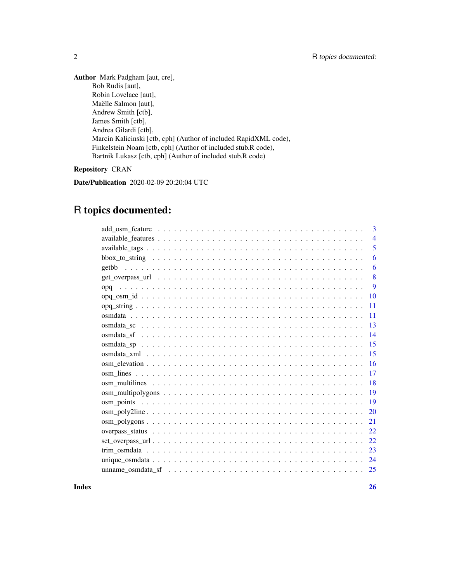Author Mark Padgham [aut, cre], Bob Rudis [aut], Robin Lovelace [aut], Maëlle Salmon [aut], Andrew Smith [ctb], James Smith [ctb], Andrea Gilardi [ctb], Marcin Kalicinski [ctb, cph] (Author of included RapidXML code), Finkelstein Noam [ctb, cph] (Author of included stub.R code), Bartnik Lukasz [ctb, cph] (Author of included stub.R code)

### Repository CRAN

Date/Publication 2020-02-09 20:20:04 UTC

## R topics documented:

|     | 3              |
|-----|----------------|
|     | $\overline{4}$ |
|     | 5              |
|     | 6              |
|     | 6              |
|     | 8              |
| opq | 9              |
|     |                |
|     | 11             |
|     | 11             |
|     | 13             |
|     | 14             |
|     | 15             |
|     | 15             |
|     | <b>16</b>      |
|     | 17             |
|     | <b>18</b>      |
|     | 19             |
|     | <b>19</b>      |
|     | 20             |
|     | 21             |
|     | 22             |
|     | 22             |
|     | 23             |
|     | 24             |
|     | 25             |
|     |                |

**Index** [26](#page-25-0)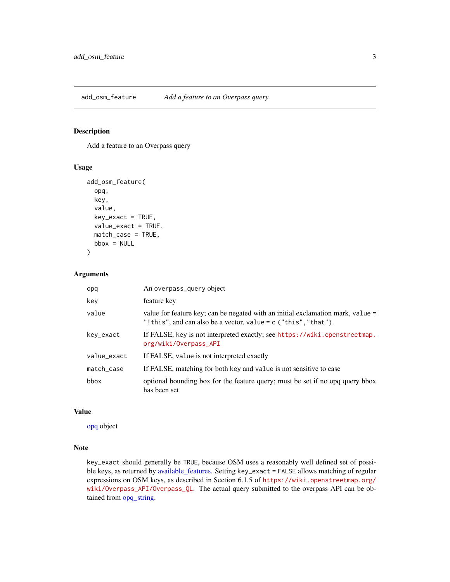<span id="page-2-1"></span><span id="page-2-0"></span>add\_osm\_feature *Add a feature to an Overpass query*

#### Description

Add a feature to an Overpass query

#### Usage

```
add_osm_feature(
  opq,
 key,
 value,
 key\_exact = TRUE,value_exact = TRUE,
 match_case = TRUE,
 bbox = NULL)
```
#### Arguments

| opq         | An overpass_query object                                                                                                                             |
|-------------|------------------------------------------------------------------------------------------------------------------------------------------------------|
| key         | feature key                                                                                                                                          |
| value       | value for feature key; can be negated with an initial exclamation mark, value =<br>"! this", and can also be a vector, value = $c$ ("this", "that"). |
| key_exact   | If FALSE, key is not interpreted exactly; see https://wiki.openstreetmap.<br>org/wiki/Overpass_API                                                   |
| value_exact | If FALSE, value is not interpreted exactly                                                                                                           |
| match_case  | If FALSE, matching for both key and value is not sensitive to case                                                                                   |
| bbox        | optional bounding box for the feature query; must be set if no opq query bbox<br>has been set                                                        |

#### Value

[opq](#page-8-1) object

#### Note

key\_exact should generally be TRUE, because OSM uses a reasonably well defined set of possible keys, as returned by [available\\_features.](#page-3-1) Setting key\_exact = FALSE allows matching of regular expressions on OSM keys, as described in Section 6.1.5 of [https://wiki.openstreetmap.org/](https://wiki.openstreetmap.org/wiki/Overpass_API/Overpass_QL) [wiki/Overpass\\_API/Overpass\\_QL](https://wiki.openstreetmap.org/wiki/Overpass_API/Overpass_QL). The actual query submitted to the overpass API can be obtained from [opq\\_string.](#page-10-1)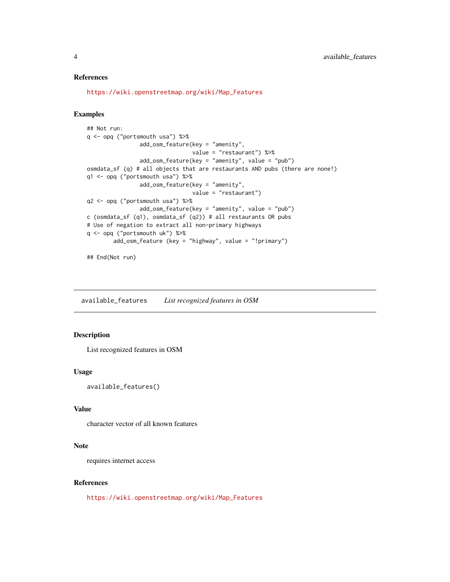#### <span id="page-3-0"></span>References

[https://wiki.openstreetmap.org/wiki/Map\\_Features](https://wiki.openstreetmap.org/wiki/Map_Features)

#### Examples

```
## Not run:
q <- opq ("portsmouth usa") %>%
               add_osm_feature(key = "amenity",
                                value = "restaurant") %>%
                add_osm_feature(key = "amenity", value = "pub")
osmdata_sf (q) # all objects that are restaurants AND pubs (there are none!)
q1 <- opq ("portsmouth usa") %>%
                add_osm_feature(key = "amenity",
                                value = "restaurant")
q2 <- opq ("portsmouth usa") %>%
                add_osm_feature(key = "amenity", value = "pub")
c (osmdata_sf (q1), osmdata_sf (q2)) # all restaurants OR pubs
# Use of negation to extract all non-primary highways
q <- opq ("portsmouth uk") %>%
       add_osm_feature (key = "highway", value = "!primary")
```
## End(Not run)

<span id="page-3-1"></span>available\_features *List recognized features in OSM*

#### Description

List recognized features in OSM

#### Usage

available\_features()

#### Value

character vector of all known features

#### Note

requires internet access

#### References

[https://wiki.openstreetmap.org/wiki/Map\\_Features](https://wiki.openstreetmap.org/wiki/Map_Features)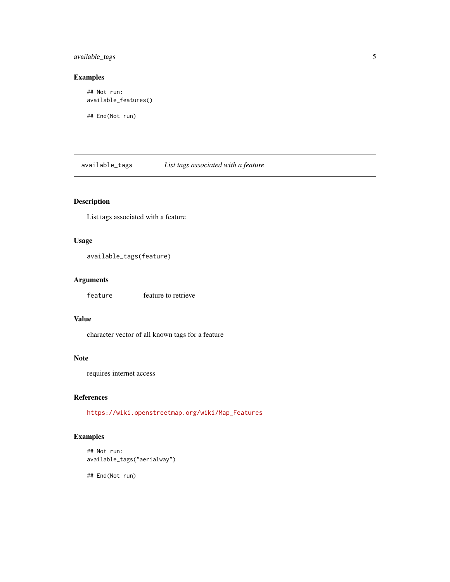<span id="page-4-0"></span>available\_tags 5

#### Examples

```
## Not run:
available_features()
```
## End(Not run)

<span id="page-4-1"></span>available\_tags *List tags associated with a feature*

#### Description

List tags associated with a feature

#### Usage

```
available_tags(feature)
```
### Arguments

feature feature to retrieve

#### Value

character vector of all known tags for a feature

#### Note

requires internet access

#### References

[https://wiki.openstreetmap.org/wiki/Map\\_Features](https://wiki.openstreetmap.org/wiki/Map_Features)

### Examples

```
## Not run:
available_tags("aerialway")
```
## End(Not run)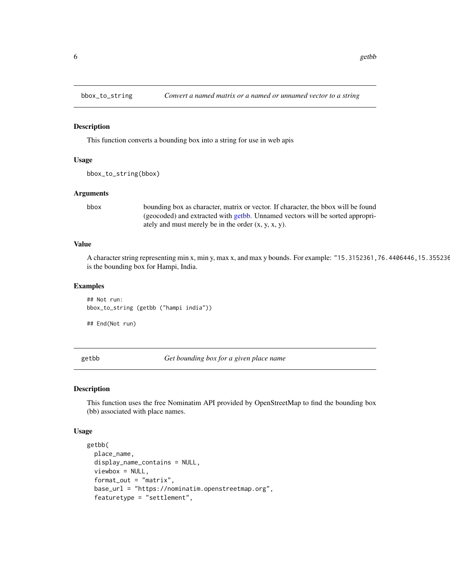<span id="page-5-2"></span><span id="page-5-0"></span>

This function converts a bounding box into a string for use in web apis

#### Usage

```
bbox_to_string(bbox)
```
#### Arguments

bbox bounding box as character, matrix or vector. If character, the bbox will be found (geocoded) and extracted with [getbb.](#page-5-1) Unnamed vectors will be sorted appropriately and must merely be in the order (x, y, x, y).

#### Value

A character string representing min x, min y, max x, and max y bounds. For example: "15.3152361,76.4406446,15.355236 is the bounding box for Hampi, India.

#### Examples

## Not run: bbox\_to\_string (getbb ("hampi india"))

## End(Not run)

<span id="page-5-1"></span>getbb *Get bounding box for a given place name*

#### Description

This function uses the free Nominatim API provided by OpenStreetMap to find the bounding box (bb) associated with place names.

#### Usage

```
getbb(
  place_name,
  display_name_contains = NULL,
  viewbox = NULL,
  format_out = "matrix",
  base_url = "https://nominatim.openstreetmap.org",
  featuretype = "settlement",
```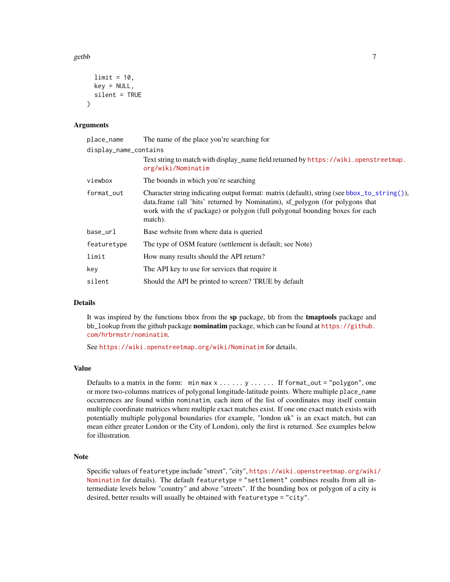<span id="page-6-0"></span> $\zeta$  getbb  $\zeta$ 

```
limit = 10,key = NULL,
  silent = TRUE
\lambda
```
#### Arguments

| place_name            | The name of the place you're searching for                                                                                                                                                                                                                             |  |
|-----------------------|------------------------------------------------------------------------------------------------------------------------------------------------------------------------------------------------------------------------------------------------------------------------|--|
| display_name_contains |                                                                                                                                                                                                                                                                        |  |
|                       | Text string to match with display_name field returned by https://wiki.openstreetmap.<br>org/wiki/Nominatim                                                                                                                                                             |  |
| viewbox               | The bounds in which you're searching                                                                                                                                                                                                                                   |  |
| format_out            | Character string indicating output format: matrix (default), string (see bbox_to_string()),<br>data.frame (all 'hits' returned by Nominatim), sf_polygon (for polygons that<br>work with the sf package) or polygon (full polygonal bounding boxes for each<br>match). |  |
| base_url              | Base website from where data is queried                                                                                                                                                                                                                                |  |
| featuretype           | The type of OSM feature (settlement is default; see Note)                                                                                                                                                                                                              |  |
| limit                 | How many results should the API return?                                                                                                                                                                                                                                |  |
| key                   | The API key to use for services that require it                                                                                                                                                                                                                        |  |
| silent                | Should the API be printed to screen? TRUE by default                                                                                                                                                                                                                   |  |

#### Details

It was inspired by the functions bbox from the sp package, bb from the tmaptools package and bb\_lookup from the github package nominatim package, which can be found at [https://github.](https://github.com/hrbrmstr/nominatim) [com/hrbrmstr/nominatim](https://github.com/hrbrmstr/nominatim).

See <https://wiki.openstreetmap.org/wiki/Nominatim> for details.

#### Value

Defaults to a matrix in the form:  $\min \max x$ .....,  $y$ ...... If format\_out = "polygon", one or more two-columns matrices of polygonal longitude-latitude points. Where multiple place\_name occurrences are found within nominatim, each item of the list of coordinates may itself contain multiple coordinate matrices where multiple exact matches exist. If one one exact match exists with potentially multiple polygonal boundaries (for example, "london uk" is an exact match, but can mean either greater London or the City of London), only the first is returned. See examples below for illustration.

#### Note

Specific values of featuretype include "street", "city", [https://wiki.openstreetmap.org/wiki](https://wiki.openstreetmap.org/wiki/Nominatim)/ [Nominatim](https://wiki.openstreetmap.org/wiki/Nominatim) for details). The default featuretype = "settlement" combines results from all intermediate levels below "country" and above "streets". If the bounding box or polygon of a city is desired, better results will usually be obtained with featuretype = "city".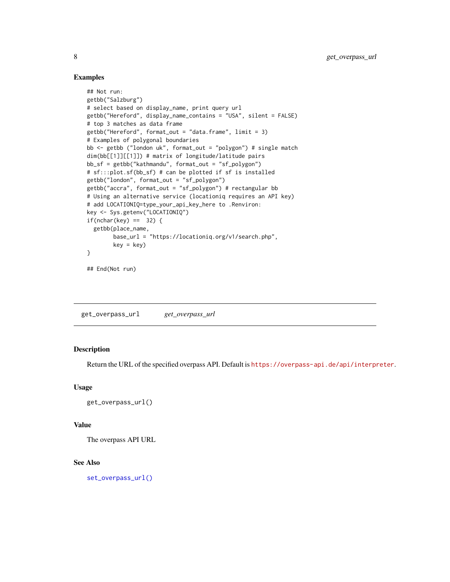#### Examples

```
## Not run:
getbb("Salzburg")
# select based on display_name, print query url
getbb("Hereford", display_name_contains = "USA", silent = FALSE)
# top 3 matches as data frame
getbb("Hereford", format_out = "data.frame", limit = 3)
# Examples of polygonal boundaries
bb <- getbb ("london uk", format_out = "polygon") # single match
dim(bb[[1]][[1]]) # matrix of longitude/latitude pairs
bb_sf = getbb("kathmandu", format_out = "sf_polygon")
# sf:::plot.sf(bb_sf) # can be plotted if sf is installed
getbb("london", format_out = "sf_polygon")
getbb("accra", format_out = "sf_polygon") # rectangular bb
# Using an alternative service (locationiq requires an API key)
# add LOCATIONIQ=type_your_api_key_here to .Renviron:
key <- Sys.getenv("LOCATIONIQ")
if(nchar(key) == 32)getbb(place_name,
        base_url = "https://locationiq.org/v1/search.php",
        key = key}
## End(Not run)
```
<span id="page-7-1"></span>get\_overpass\_url *get\_overpass\_url*

#### Description

Return the URL of the specified overpass API. Default is <https://overpass-api.de/api/interpreter>.

#### Usage

get\_overpass\_url()

#### Value

The overpass API URL

#### See Also

[set\\_overpass\\_url\(\)](#page-21-1)

<span id="page-7-0"></span>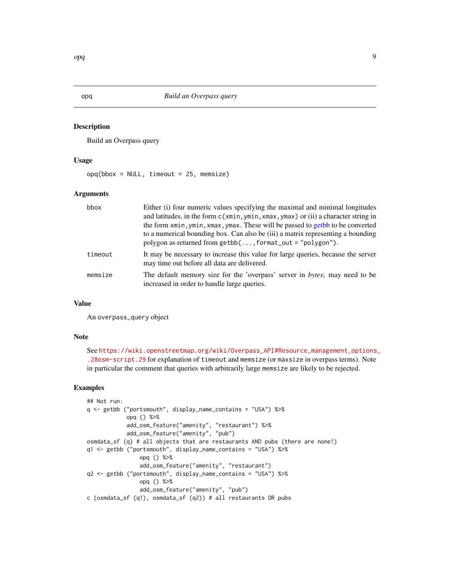<span id="page-8-1"></span><span id="page-8-0"></span>Build an Overpass query

#### Usage

 $opq(bbox = NULL, timeout = 25, memsize)$ 

#### Arguments

| bbox    | Either (i) four numeric values specifying the maximal and minimal longitudes<br>and latitudes, in the form $c(xmin, ymin, xmax, ymax)$ or (ii) a character string in<br>the form xmin, ymin, xmax, ymax. These will be passed to getbb to be converted<br>to a numerical bounding box. Can also be (iii) a matrix representing a bounding<br>polygon as returned from $getbb(,format\_out = "polygon").$ |
|---------|----------------------------------------------------------------------------------------------------------------------------------------------------------------------------------------------------------------------------------------------------------------------------------------------------------------------------------------------------------------------------------------------------------|
| timeout | It may be necessary to increase this value for large queries, because the server<br>may time out before all data are delivered.                                                                                                                                                                                                                                                                          |
| memsize | The default memory size for the 'overpass' server in bytes; may need to be<br>increased in order to handle large queries.                                                                                                                                                                                                                                                                                |

#### Value

An overpass\_query object

#### Note

```
See https://wiki.openstreetmap.org/wiki/Overpass_API#Resource_management_options_
.28osm-script.29 for explanation of timeout and memsize (or maxsize in overpass terms). Note
in particular the comment that queries with arbitrarily large memsize are likely to be rejected.
```
### Examples

```
## Not run:
q <- getbb ("portsmouth", display_name_contains = "USA") %>%
            opq () %>%
            add_osm_feature("amenity", "restaurant") %>%
            add_osm_feature("amenity", "pub")
osmdata_sf (q) # all objects that are restaurants AND pubs (there are none!)
q1 <- getbb ("portsmouth", display_name_contains = "USA") %>%
                opq () %>%
                add_osm_feature("amenity", "restaurant")
q2 <- getbb ("portsmouth", display_name_contains = "USA") %>%
                opq () %>%
                add_osm_feature("amenity", "pub")
c (osmdata_sf (q1), osmdata_sf (q2)) # all restaurants OR pubs
```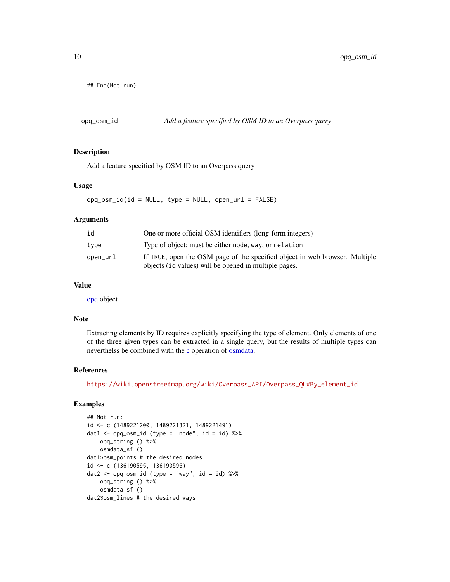```
## End(Not run)
```
opq\_osm\_id *Add a feature specified by OSM ID to an Overpass query*

#### Description

Add a feature specified by OSM ID to an Overpass query

#### Usage

 $opq_{\sim}osm_{\sim}id(id = NULL, type = NULL, open_{\sim}ur1 = FALSE)$ 

#### Arguments

| id       | One or more official OSM identifiers (long-form integers)                                                                            |
|----------|--------------------------------------------------------------------------------------------------------------------------------------|
| type     | Type of object; must be either node, way, or relation                                                                                |
| open_url | If TRUE, open the OSM page of the specified object in web browser. Multiple<br>objects (id values) will be opened in multiple pages. |

#### Value

[opq](#page-8-1) object

#### Note

Extracting elements by ID requires explicitly specifying the type of element. Only elements of one of the three given types can be extracted in a single query, but the results of multiple types can neverthelss be combined with the [c](#page-0-0) operation of [osmdata.](#page-10-2)

#### References

[https://wiki.openstreetmap.org/wiki/Overpass\\_API/Overpass\\_QL#By\\_element\\_id](https://wiki.openstreetmap.org/wiki/Overpass_API/Overpass_QL#By_element_id)

#### Examples

```
## Not run:
id <- c (1489221200, 1489221321, 1489221491)
dat1 <- opq_{\text{com}}id (type = "node", id = id) %>%
    opq_string () %>%
    osmdata_sf ()
dat1$osm_points # the desired nodes
id <- c (136190595, 136190596)
dat2 \leftarrow opq_osm_id (type = "way", id = id) %>%
    opq_string () %>%
    osmdata_sf ()
dat2$osm_lines # the desired ways
```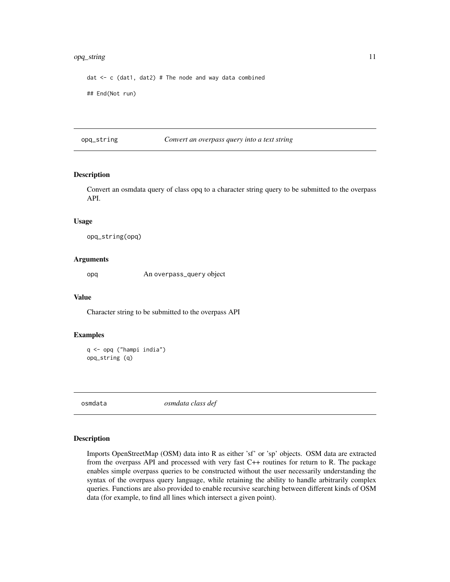#### <span id="page-10-0"></span>opq\_string 11

dat  $\leq$  c (dat1, dat2) # The node and way data combined ## End(Not run)

<span id="page-10-1"></span>opq\_string *Convert an overpass query into a text string*

#### Description

Convert an osmdata query of class opq to a character string query to be submitted to the overpass API.

#### Usage

opq\_string(opq)

#### Arguments

opq An overpass\_query object

#### Value

Character string to be submitted to the overpass API

#### Examples

```
q <- opq ("hampi india")
opq_string (q)
```
<span id="page-10-2"></span>osmdata *osmdata class def*

#### Description

Imports OpenStreetMap (OSM) data into R as either 'sf' or 'sp' objects. OSM data are extracted from the overpass API and processed with very fast C++ routines for return to R. The package enables simple overpass queries to be constructed without the user necessarily understanding the syntax of the overpass query language, while retaining the ability to handle arbitrarily complex queries. Functions are also provided to enable recursive searching between different kinds of OSM data (for example, to find all lines which intersect a given point).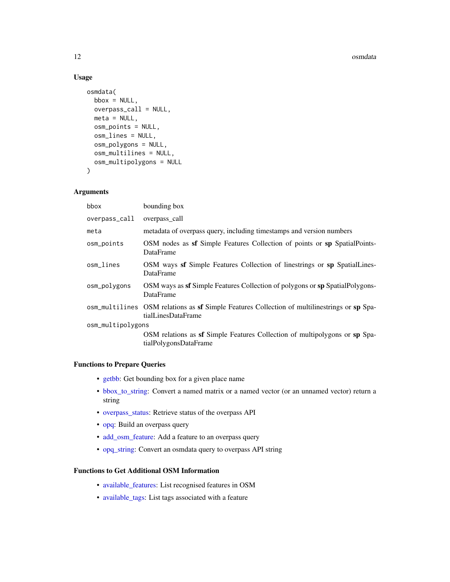#### <span id="page-11-0"></span>12 osmdata

#### Usage

```
osmdata(
 bbox = NULL,overpass_call = NULL,
 meta = NULL,osm_points = NULL,
 osm_lines = NULL,
 osm_polygons = NULL,
 osm_multilines = NULL,
 osm_multipolygons = NULL
\lambda
```
#### Arguments

| bounding box                                                                                                       |  |  |
|--------------------------------------------------------------------------------------------------------------------|--|--|
| overpass_call                                                                                                      |  |  |
| metadata of overpass query, including timestamps and version numbers                                               |  |  |
| OSM nodes as <b>sf</b> Simple Features Collection of points or <b>sp</b> SpatialPoints-<br>DataFrame               |  |  |
| OSM ways sf Simple Features Collection of linestrings or sp SpatialLines-<br><b>DataFrame</b>                      |  |  |
| OSM ways as sf Simple Features Collection of polygons or sp SpatialPolygons-<br>DataFrame                          |  |  |
| osm_multilines OSM relations as sf Simple Features Collection of multilinestrings or sp Spa-<br>tialLinesDataFrame |  |  |
| osm_multipolygons                                                                                                  |  |  |
| OSM relations as <b>sf</b> Simple Features Collection of multipolygons or <b>sp</b> Spa-<br>tialPolygonsDataFrame  |  |  |
|                                                                                                                    |  |  |

#### Functions to Prepare Queries

- [getbb:](#page-5-1) Get bounding box for a given place name
- [bbox\\_to\\_string:](#page-5-2) Convert a named matrix or a named vector (or an unnamed vector) return a string
- [overpass\\_status:](#page-21-2) Retrieve status of the overpass API
- [opq:](#page-8-1) Build an overpass query
- [add\\_osm\\_feature:](#page-2-1) Add a feature to an overpass query
- [opq\\_string:](#page-10-1) Convert an osmdata query to overpass API string

#### Functions to Get Additional OSM Information

- [available\\_features:](#page-3-1) List recognised features in OSM
- [available\\_tags:](#page-4-1) List tags associated with a feature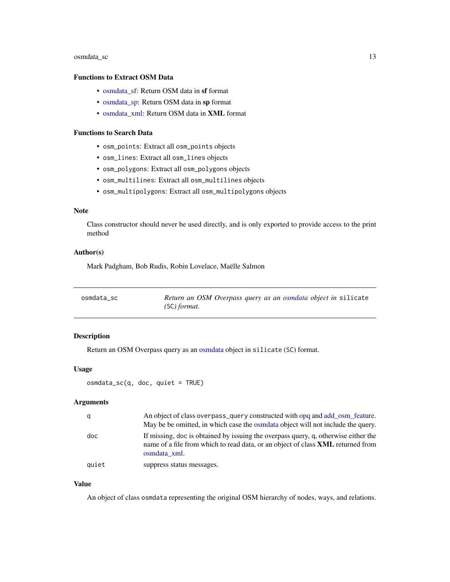#### <span id="page-12-0"></span>osmdata\_sc 13

#### Functions to Extract OSM Data

- osmdata sf: Return OSM data in sf format
- [osmdata\\_sp:](#page-14-1) Return OSM data in sp format
- [osmdata\\_xml:](#page-14-2) Return OSM data in XML format

#### Functions to Search Data

- osm\_points: Extract all osm\_points objects
- osm\_lines: Extract all osm\_lines objects
- osm\_polygons: Extract all osm\_polygons objects
- osm\_multilines: Extract all osm\_multilines objects
- osm\_multipolygons: Extract all osm\_multipolygons objects

#### Note

Class constructor should never be used directly, and is only exported to provide access to the print method

#### Author(s)

Mark Padgham, Bob Rudis, Robin Lovelace, Maëlle Salmon

<span id="page-12-1"></span>

| osmdata sc | Return an OSM Overpass query as an osmdata object in silicate |
|------------|---------------------------------------------------------------|
|            | (SC) format.                                                  |

#### Description

Return an OSM Overpass query as an [osmdata](#page-10-2) object in silicate (SC) format.

#### Usage

osmdata\_sc(q, doc, quiet = TRUE)

#### Arguments

| q     | An object of class overpass_query constructed with opq and add osm feature.<br>May be be omitted, in which case the osmolata object will not include the query.                              |
|-------|----------------------------------------------------------------------------------------------------------------------------------------------------------------------------------------------|
| doc   | If missing, doc is obtained by issuing the overpass query, q, otherwise either the<br>name of a file from which to read data, or an object of class <b>XML</b> returned from<br>osmdata xml. |
| quiet | suppress status messages.                                                                                                                                                                    |

#### Value

An object of class osmdata representing the original OSM hierarchy of nodes, ways, and relations.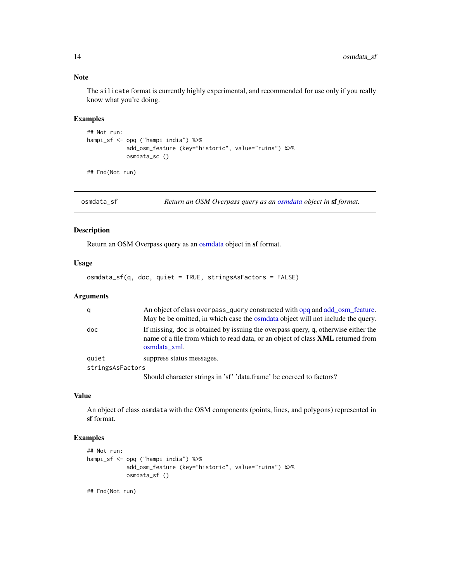#### Note

The silicate format is currently highly experimental, and recommended for use only if you really know what you're doing.

#### Examples

```
## Not run:
hampi_sf <- opq ("hampi india") %>%
            add_osm_feature (key="historic", value="ruins") %>%
            osmdata_sc ()
```
## End(Not run)

<span id="page-13-1"></span>osmdata\_sf *Return an OSM Overpass query as an [osmdata](#page-10-2) object in* sf *format.*

#### Description

Return an OSM Overpass query as an [osmdata](#page-10-2) object in sf format.

#### Usage

```
osmdata_sf(q, doc, quiet = TRUE, stringsAsFactors = FALSE)
```
#### Arguments

|                  | An object of class overpass_query constructed with opq and add osm feature.<br>May be be omitted, in which case the osmolata object will not include the query.                              |
|------------------|----------------------------------------------------------------------------------------------------------------------------------------------------------------------------------------------|
| doc              | If missing, doc is obtained by issuing the overpass query, q, otherwise either the<br>name of a file from which to read data, or an object of class <b>XML</b> returned from<br>osmdata xml. |
| quiet            | suppress status messages.                                                                                                                                                                    |
| stringsAsFactors |                                                                                                                                                                                              |
|                  | Should character strings in 'sf' 'data.frame' be coerced to factors?                                                                                                                         |

#### Value

An object of class osmdata with the OSM components (points, lines, and polygons) represented in sf format.

#### Examples

```
## Not run:
hampi_sf <- opq ("hampi india") %>%
            add_osm_feature (key="historic", value="ruins") %>%
            osmdata_sf ()
```
## End(Not run)

<span id="page-13-0"></span>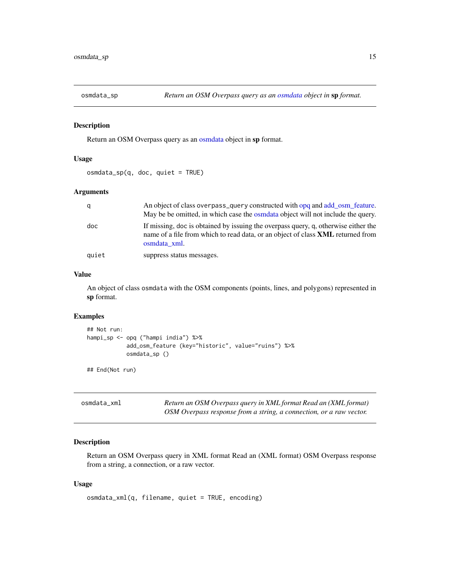<span id="page-14-1"></span><span id="page-14-0"></span>

Return an OSM Overpass query as an [osmdata](#page-10-2) object in sp format.

#### Usage

osmdata\_sp(q, doc, quiet = TRUE)

#### Arguments

| q     | An object of class overpass_query constructed with opq and add osm feature.<br>May be be omitted, in which case the osmolata object will not include the query.                              |
|-------|----------------------------------------------------------------------------------------------------------------------------------------------------------------------------------------------|
| doc   | If missing, doc is obtained by issuing the overpass query, q, otherwise either the<br>name of a file from which to read data, or an object of class <b>XML</b> returned from<br>osmdata xml. |
| quiet | suppress status messages.                                                                                                                                                                    |

#### Value

An object of class osmdata with the OSM components (points, lines, and polygons) represented in sp format.

#### Examples

```
## Not run:
hampi_sp <- opq ("hampi india") %>%
            add_osm_feature (key="historic", value="ruins") %>%
            osmdata_sp ()
```
## End(Not run)

<span id="page-14-2"></span>

| osmdata xml | Return an OSM Overpass query in XML format Read an (XML format)     |
|-------------|---------------------------------------------------------------------|
|             | OSM Overpass response from a string, a connection, or a raw vector. |

#### Description

Return an OSM Overpass query in XML format Read an (XML format) OSM Overpass response from a string, a connection, or a raw vector.

#### Usage

osmdata\_xml(q, filename, quiet = TRUE, encoding)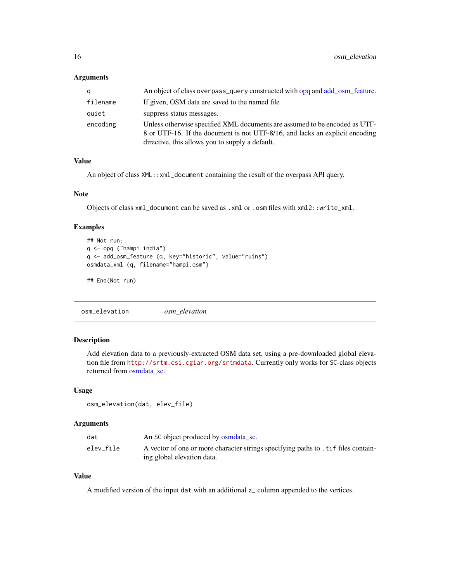#### <span id="page-15-0"></span>Arguments

| q        | An object of class overpass_query constructed with opq and add osm feature.                                                                                                                                   |
|----------|---------------------------------------------------------------------------------------------------------------------------------------------------------------------------------------------------------------|
| filename | If given, OSM data are saved to the named file                                                                                                                                                                |
| quiet    | suppress status messages.                                                                                                                                                                                     |
| encoding | Unless otherwise specified XML documents are assumed to be encoded as UTF-<br>8 or UTF-16. If the document is not UTF-8/16, and lacks an explicit encoding<br>directive, this allows you to supply a default. |

#### Value

An object of class XML::xml\_document containing the result of the overpass API query.

#### Note

Objects of class xml\_document can be saved as .xml or .osm files with xml2::write\_xml.

#### Examples

```
## Not run:
q <- opq ("hampi india")
q <- add_osm_feature (q, key="historic", value="ruins")
osmdata_xml (q, filename="hampi.osm")
## End(Not run)
```
osm\_elevation *osm\_elevation*

#### Description

Add elevation data to a previously-extracted OSM data set, using a pre-downloaded global elevation file from <http://srtm.csi.cgiar.org/srtmdata>. Currently only works for SC-class objects returned from [osmdata\\_sc.](#page-12-1)

#### Usage

```
osm_elevation(dat, elev_file)
```
#### Arguments

| dat       | An SC object produced by osmolata sc.                                              |
|-----------|------------------------------------------------------------------------------------|
| elev file | A vector of one or more character strings specifying paths to . tif files contain- |
|           | ing global elevation data.                                                         |

#### Value

A modified version of the input dat with an additional z\_ column appended to the vertices.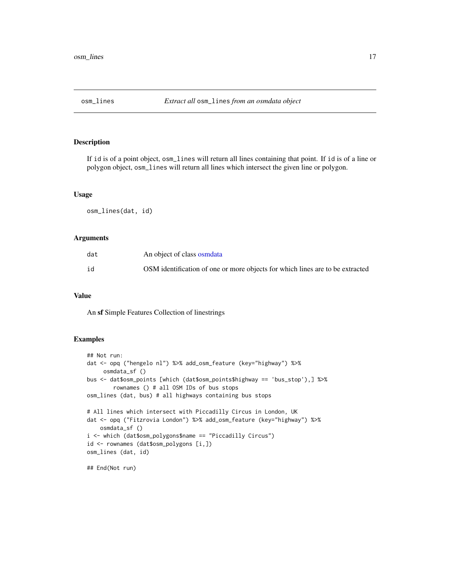<span id="page-16-0"></span>

If id is of a point object, osm\_lines will return all lines containing that point. If id is of a line or polygon object, osm\_lines will return all lines which intersect the given line or polygon.

#### Usage

osm\_lines(dat, id)

#### Arguments

| dat | An object of class osmdata                                                    |
|-----|-------------------------------------------------------------------------------|
| id  | OSM identification of one or more objects for which lines are to be extracted |

#### Value

An sf Simple Features Collection of linestrings

#### Examples

```
## Not run:
dat <- opq ("hengelo nl") %>% add_osm_feature (key="highway") %>%
     osmdata_sf ()
bus <- dat$osm_points [which (dat$osm_points$highway == 'bus_stop'),] %>%
       rownames () # all OSM IDs of bus stops
osm_lines (dat, bus) # all highways containing bus stops
# All lines which intersect with Piccadilly Circus in London, UK
dat <- opq ("Fitzrovia London") %>% add_osm_feature (key="highway") %>%
   osmdata_sf ()
i <- which (dat$osm_polygons$name == "Piccadilly Circus")
id <- rownames (dat$osm_polygons [i,])
osm_lines (dat, id)
```
## End(Not run)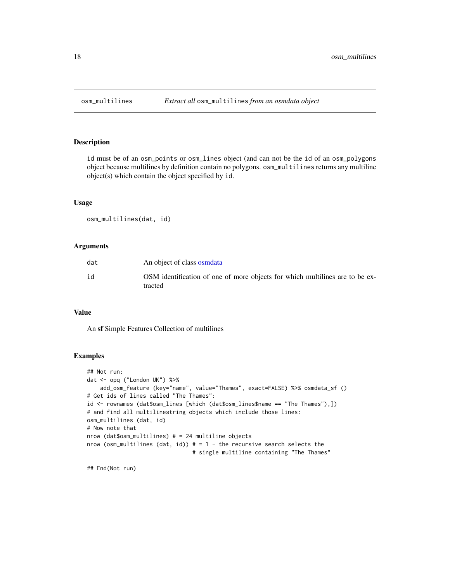<span id="page-17-0"></span>

id must be of an osm\_points or osm\_lines object (and can not be the id of an osm\_polygons object because multilines by definition contain no polygons. osm\_multilines returns any multiline object(s) which contain the object specified by id.

#### Usage

osm\_multilines(dat, id)

#### Arguments

| dat | An object of class osmolata                                                             |
|-----|-----------------------------------------------------------------------------------------|
| id  | OSM identification of one of more objects for which multilines are to be ex-<br>tracted |

#### Value

An sf Simple Features Collection of multilines

#### Examples

```
## Not run:
dat <- opq ("London UK") %>%
   add_osm_feature (key="name", value="Thames", exact=FALSE) %>% osmdata_sf ()
# Get ids of lines called "The Thames":
id <- rownames (dat$osm_lines [which (dat$osm_lines$name == "The Thames"),])
# and find all multilinestring objects which include those lines:
osm_multilines (dat, id)
# Now note that
nrow (dat$osm_multilines) # = 24 multiline objects
nrow (osm_multilines (dat, id)) # = 1 - the recursive search selects the
                                # single multiline containing "The Thames"
```
## End(Not run)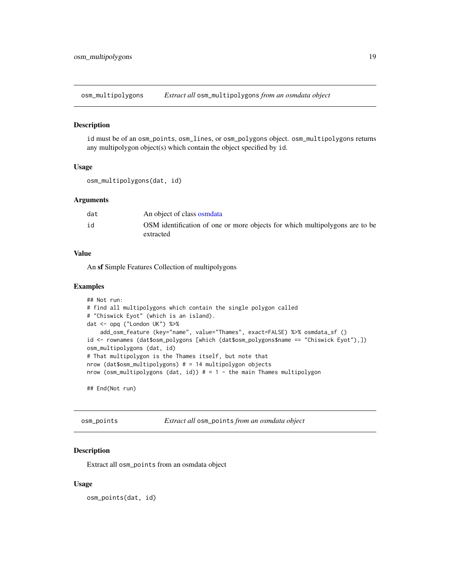<span id="page-18-0"></span>osm\_multipolygons *Extract all* osm\_multipolygons *from an osmdata object*

#### Description

id must be of an osm\_points, osm\_lines, or osm\_polygons object. osm\_multipolygons returns any multipolygon object(s) which contain the object specified by id.

#### Usage

```
osm_multipolygons(dat, id)
```
#### Arguments

| dat | An object of class osmolata                                                              |
|-----|------------------------------------------------------------------------------------------|
| id  | OSM identification of one or more objects for which multipolygons are to be<br>extracted |

#### Value

An sf Simple Features Collection of multipolygons

#### Examples

```
## Not run:
# find all multipolygons which contain the single polygon called
# "Chiswick Eyot" (which is an island).
dat <- opq ("London UK") %>%
   add_osm_feature (key="name", value="Thames", exact=FALSE) %>% osmdata_sf ()
id <- rownames (dat$osm_polygons [which (dat$osm_polygons$name == "Chiswick Eyot"),])
osm_multipolygons (dat, id)
# That multipolygon is the Thames itself, but note that
nrow (dat$osm_multipolygons) # = 14 multipolygon objects
nrow (osm_multipolygons (dat, id)) # = 1 - the main Thames multipolygon
```
## End(Not run)

osm\_points *Extract all* osm\_points *from an osmdata object*

#### Description

Extract all osm\_points from an osmdata object

#### Usage

osm\_points(dat, id)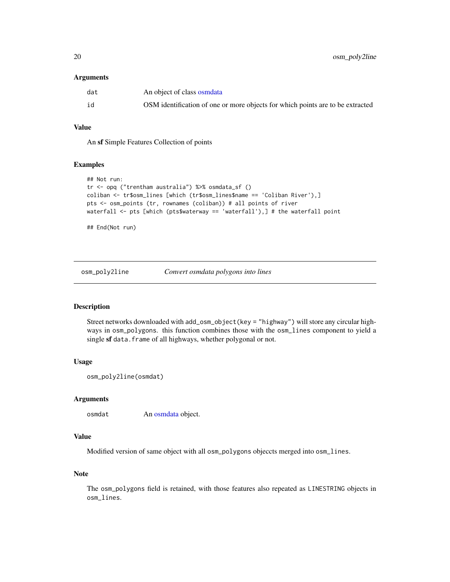#### <span id="page-19-0"></span>**Arguments**

| dat | An object of class osmdata                                                     |
|-----|--------------------------------------------------------------------------------|
| id  | OSM identification of one or more objects for which points are to be extracted |

#### Value

An sf Simple Features Collection of points

#### Examples

```
## Not run:
tr <- opq ("trentham australia") %>% osmdata_sf ()
coliban <- tr$osm_lines [which (tr$osm_lines$name == 'Coliban River'),]
pts <- osm_points (tr, rownames (coliban)) # all points of river
waterfall <- pts [which (pts$waterway == 'waterfall'),] # the waterfall point
```
## End(Not run)

osm\_poly2line *Convert osmdata polygons into lines*

#### Description

Street networks downloaded with add\_osm\_object(key = "highway") will store any circular highways in osm\_polygons. this function combines those with the osm\_lines component to yield a single sf data. frame of all highways, whether polygonal or not.

#### Usage

```
osm_poly2line(osmdat)
```
#### Arguments

osmdat An [osmdata](#page-10-2) object.

#### Value

Modified version of same object with all osm\_polygons objeccts merged into osm\_lines.

#### Note

The osm\_polygons field is retained, with those features also repeated as LINESTRING objects in osm\_lines.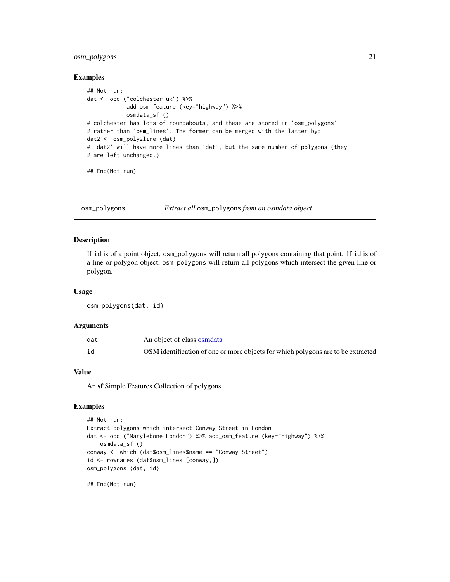#### <span id="page-20-0"></span>osm\_polygons 21

#### Examples

```
## Not run:
dat <- opq ("colchester uk") %>%
            add_osm_feature (key="highway") %>%
            osmdata_sf ()
# colchester has lots of roundabouts, and these are stored in 'osm_polygons'
# rather than 'osm_lines'. The former can be merged with the latter by:
dat2 <- osm_poly2line (dat)
# 'dat2' will have more lines than 'dat', but the same number of polygons (they
# are left unchanged.)
```
## End(Not run)

osm\_polygons *Extract all* osm\_polygons *from an osmdata object*

#### Description

If id is of a point object, osm\_polygons will return all polygons containing that point. If id is of a line or polygon object, osm\_polygons will return all polygons which intersect the given line or polygon.

#### Usage

osm\_polygons(dat, id)

#### Arguments

| dat | An object of class osmdata                                                       |
|-----|----------------------------------------------------------------------------------|
| id  | OSM identification of one or more objects for which polygons are to be extracted |

#### Value

An sf Simple Features Collection of polygons

#### Examples

```
## Not run:
Extract polygons which intersect Conway Street in London
dat <- opq ("Marylebone London") %>% add_osm_feature (key="highway") %>%
   osmdata_sf ()
conway <- which (dat$osm_lines$name == "Conway Street")
id <- rownames (dat$osm_lines [conway,])
osm_polygons (dat, id)
```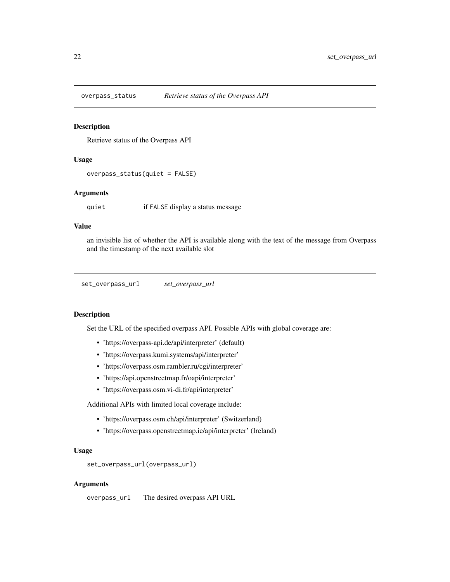<span id="page-21-2"></span><span id="page-21-0"></span>

Retrieve status of the Overpass API

#### Usage

overpass\_status(quiet = FALSE)

#### Arguments

quiet if FALSE display a status message

#### Value

an invisible list of whether the API is available along with the text of the message from Overpass and the timestamp of the next available slot

<span id="page-21-1"></span>set\_overpass\_url *set\_overpass\_url*

#### Description

Set the URL of the specified overpass API. Possible APIs with global coverage are:

- 'https://overpass-api.de/api/interpreter' (default)
- 'https://overpass.kumi.systems/api/interpreter'
- 'https://overpass.osm.rambler.ru/cgi/interpreter'
- 'https://api.openstreetmap.fr/oapi/interpreter'
- 'https://overpass.osm.vi-di.fr/api/interpreter'

Additional APIs with limited local coverage include:

- 'https://overpass.osm.ch/api/interpreter' (Switzerland)
- 'https://overpass.openstreetmap.ie/api/interpreter' (Ireland)

#### Usage

```
set_overpass_url(overpass_url)
```
#### Arguments

overpass\_url The desired overpass API URL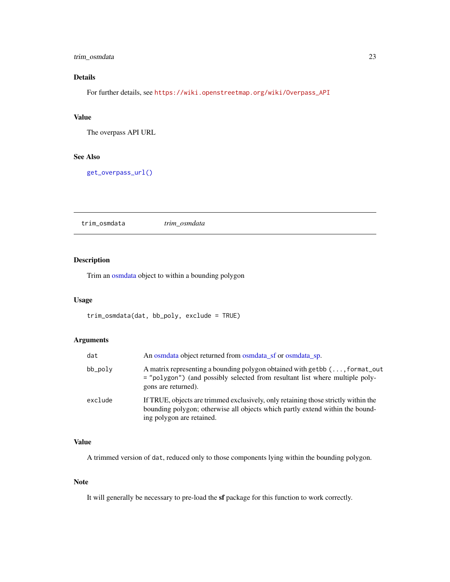#### <span id="page-22-0"></span>trim\_osmdata 23

### Details

For further details, see [https://wiki.openstreetmap.org/wiki/Overpass\\_API](https://wiki.openstreetmap.org/wiki/Overpass_API)

#### Value

The overpass API URL

#### See Also

[get\\_overpass\\_url\(\)](#page-7-1)

trim\_osmdata *trim\_osmdata*

#### Description

Trim an [osmdata](#page-10-2) object to within a bounding polygon

#### Usage

```
trim_osmdata(dat, bb_poly, exclude = TRUE)
```
### Arguments

| dat     | An osmolata object returned from osmolata sf or osmolata sp.                                                                                                                                     |
|---------|--------------------------------------------------------------------------------------------------------------------------------------------------------------------------------------------------|
| bb_poly | A matrix representing a bounding polygon obtained with getbb (, format_out<br>= "polygon") (and possibly selected from resultant list where multiple poly-<br>gons are returned).                |
| exclude | If TRUE, objects are trimmed exclusively, only retaining those strictly within the<br>bounding polygon; otherwise all objects which partly extend within the bound-<br>ing polygon are retained. |

#### Value

A trimmed version of dat, reduced only to those components lying within the bounding polygon.

#### Note

It will generally be necessary to pre-load the sf package for this function to work correctly.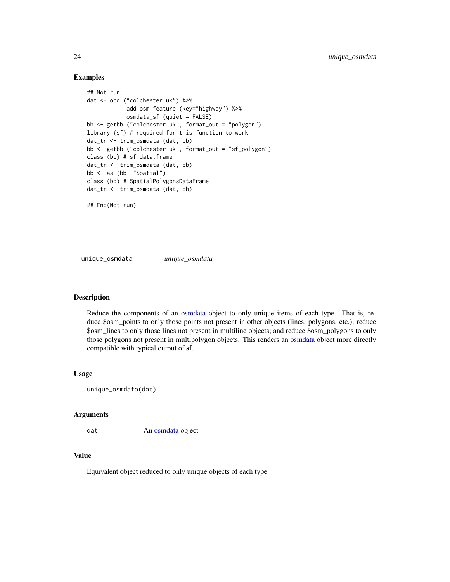#### Examples

```
## Not run:
dat <- opq ("colchester uk") %>%
            add_osm_feature (key="highway") %>%
            osmdata_sf (quiet = FALSE)
bb <- getbb ("colchester uk", format_out = "polygon")
library (sf) # required for this function to work
dat_tr <- trim_osmdata (dat, bb)
bb <- getbb ("colchester uk", format_out = "sf_polygon")
class (bb) # sf data.frame
dat_tr <- trim_osmdata (dat, bb)
bb <- as (bb, "Spatial")
class (bb) # SpatialPolygonsDataFrame
dat_tr <- trim_osmdata (dat, bb)
## End(Not run)
```
unique\_osmdata *unique\_osmdata*

#### Description

Reduce the components of an [osmdata](#page-10-2) object to only unique items of each type. That is, reduce \$osm\_points to only those points not present in other objects (lines, polygons, etc.); reduce \$osm\_lines to only those lines not present in multiline objects; and reduce \$osm\_polygons to only those polygons not present in multipolygon objects. This renders an [osmdata](#page-10-2) object more directly compatible with typical output of sf.

#### Usage

```
unique_osmdata(dat)
```
#### Arguments

dat An [osmdata](#page-10-2) object

#### Value

Equivalent object reduced to only unique objects of each type

<span id="page-23-0"></span>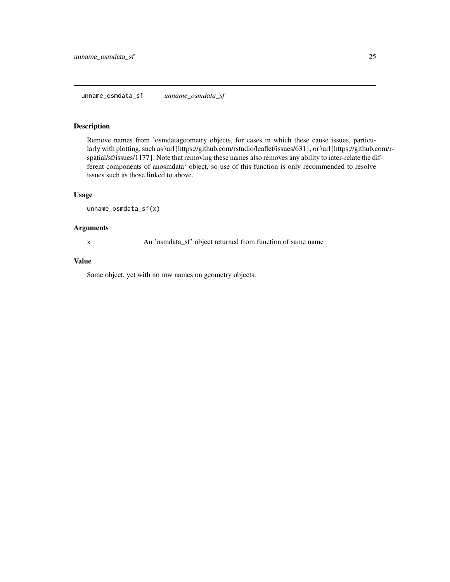<span id="page-24-0"></span>Remove names from 'osmdatageometry objects, for cases in which these cause issues, particularly with plotting, such as \url{https://github.com/rstudio/leaflet/issues/631}, or \url{https://github.com/rspatial/sf/issues/1177}. Note that removing these names also removes any ability to inter-relate the different components of anosmdata' object, so use of this function is only recommended to resolve issues such as those linked to above.

#### Usage

unname\_osmdata\_sf(x)

#### Arguments

x An 'osmdata\_sf' object returned from function of same name

#### Value

Same object, yet with no row names on geometry objects.